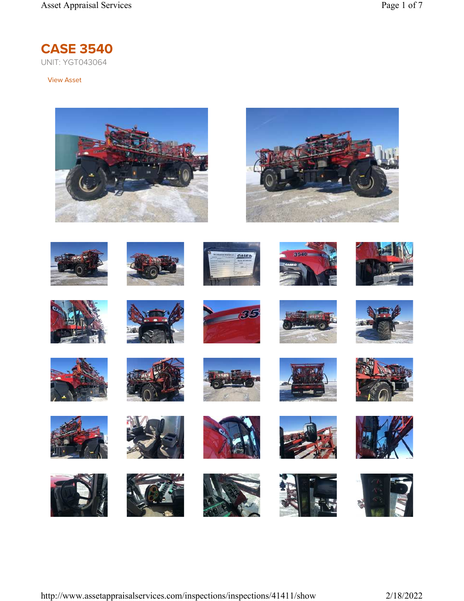Asset Appraisal Services Page 1 of 7

## **CASE 3540**  UNIT: YGT043064

View Asset

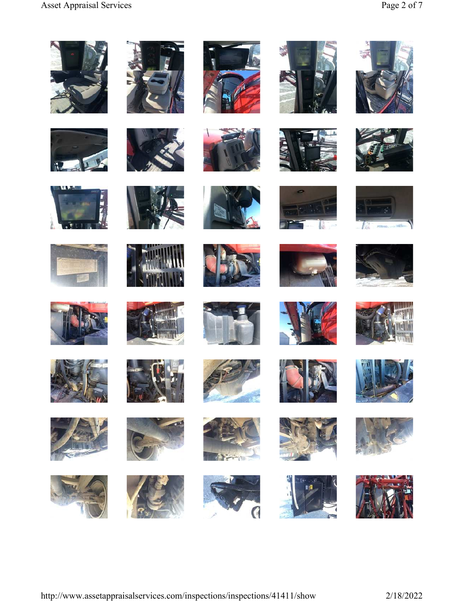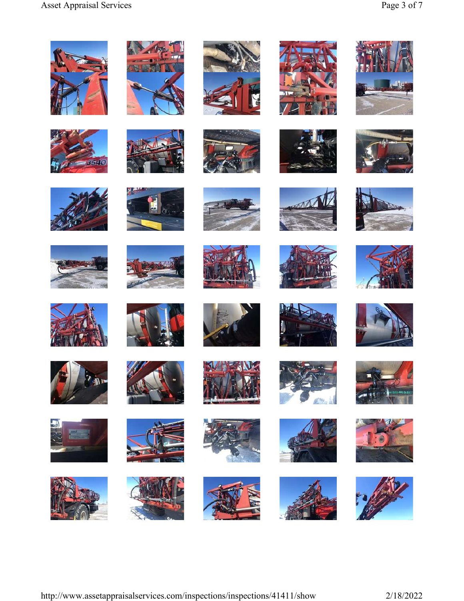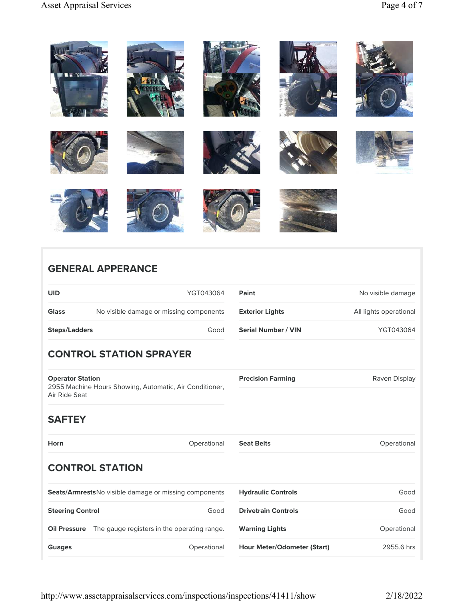

## **GENERAL APPERANCE**

| <b>UID</b>           | YGT043064                               | Paint                      | No visible damage      |
|----------------------|-----------------------------------------|----------------------------|------------------------|
| <b>Glass</b>         | No visible damage or missing components | <b>Exterior Lights</b>     | All lights operational |
| <b>Steps/Ladders</b> | Good                                    | <b>Serial Number / VIN</b> | YGT043064              |

#### **CONTROL STATION SPRAYER**

| <b>Operator Station</b>                                 | <b>Precision Farming</b> | Raven Display |
|---------------------------------------------------------|--------------------------|---------------|
| 2955 Machine Hours Showing, Automatic, Air Conditioner, |                          |               |
| Air Ride Seat                                           |                          |               |

#### **SAFTEY**

| Horn                            | Operational                                                   | <b>Seat Belts</b>           | Operational |
|---------------------------------|---------------------------------------------------------------|-----------------------------|-------------|
| <b>CONTROL STATION</b>          |                                                               |                             |             |
|                                 | <b>Seats/Armrests No visible damage or missing components</b> | <b>Hydraulic Controls</b>   | Good        |
| <b>Steering Control</b><br>Good |                                                               | <b>Drivetrain Controls</b>  | Good        |
| <b>Oil Pressure</b>             | The gauge registers in the operating range.                   | <b>Warning Lights</b>       | Operational |
| <b>Guages</b>                   | Operational                                                   | Hour Meter/Odometer (Start) | 2955.6 hrs  |

http://www.assetappraisalservices.com/inspections/inspections/41411/show 2/18/2022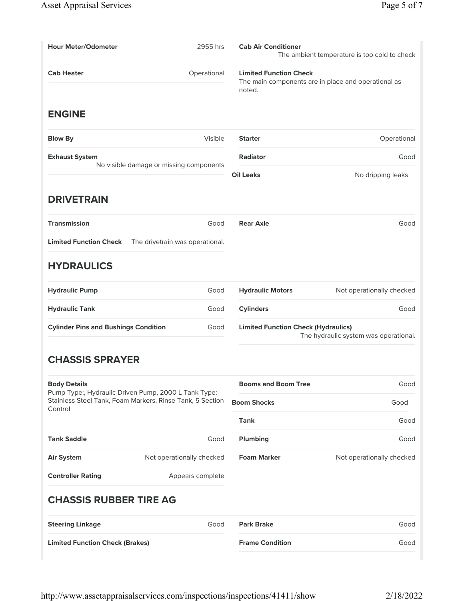| <b>Hour Meter/Odometer</b>                                                                                                                          | 2955 hrs                                | <b>Cab Air Conditioner</b><br>The ambient temperature is too cold to check                     |                           |
|-----------------------------------------------------------------------------------------------------------------------------------------------------|-----------------------------------------|------------------------------------------------------------------------------------------------|---------------------------|
| <b>Cab Heater</b>                                                                                                                                   | Operational                             | <b>Limited Function Check</b><br>The main components are in place and operational as<br>noted. |                           |
| <b>ENGINE</b>                                                                                                                                       |                                         |                                                                                                |                           |
| <b>Blow By</b>                                                                                                                                      | Visible                                 | <b>Starter</b>                                                                                 | Operational               |
| <b>Exhaust System</b>                                                                                                                               | No visible damage or missing components | <b>Radiator</b>                                                                                | Good                      |
|                                                                                                                                                     |                                         | <b>Oil Leaks</b>                                                                               | No dripping leaks         |
| <b>DRIVETRAIN</b>                                                                                                                                   |                                         |                                                                                                |                           |
| <b>Transmission</b>                                                                                                                                 | Good                                    | <b>Rear Axle</b>                                                                               | Good                      |
| <b>Limited Function Check</b>                                                                                                                       | The drivetrain was operational.         |                                                                                                |                           |
| <b>HYDRAULICS</b>                                                                                                                                   |                                         |                                                                                                |                           |
| <b>Hydraulic Pump</b>                                                                                                                               | Good                                    | <b>Hydraulic Motors</b>                                                                        | Not operationally checked |
| <b>Hydraulic Tank</b>                                                                                                                               | Good                                    | <b>Cylinders</b>                                                                               | Good                      |
| <b>Cylinder Pins and Bushings Condition</b><br>Good                                                                                                 |                                         | <b>Limited Function Check (Hydraulics)</b><br>The hydraulic system was operational.            |                           |
| <b>CHASSIS SPRAYER</b>                                                                                                                              |                                         |                                                                                                |                           |
| <b>Body Details</b><br>Pump Type:, Hydraulic Driven Pump, 2000 L Tank Type:<br>Stainless Steel Tank, Foam Markers, Rinse Tank, 5 Section<br>Control |                                         | <b>Booms and Boom Tree</b>                                                                     | Good                      |
|                                                                                                                                                     |                                         | <b>Boom Shocks</b>                                                                             | Good                      |
|                                                                                                                                                     |                                         | <b>Tank</b>                                                                                    | Good                      |
| <b>Tank Saddle</b>                                                                                                                                  | Good                                    | Plumbing                                                                                       | Good                      |
| <b>Air System</b>                                                                                                                                   | Not operationally checked               | <b>Foam Marker</b>                                                                             | Not operationally checked |
| <b>Controller Rating</b>                                                                                                                            | Appears complete                        |                                                                                                |                           |
| <b>CHASSIS RUBBER TIRE AG</b>                                                                                                                       |                                         |                                                                                                |                           |
| <b>Steering Linkage</b>                                                                                                                             | Good                                    | <b>Park Brake</b>                                                                              | Good                      |
| <b>Limited Function Check (Brakes)</b>                                                                                                              |                                         | <b>Frame Condition</b>                                                                         | Good                      |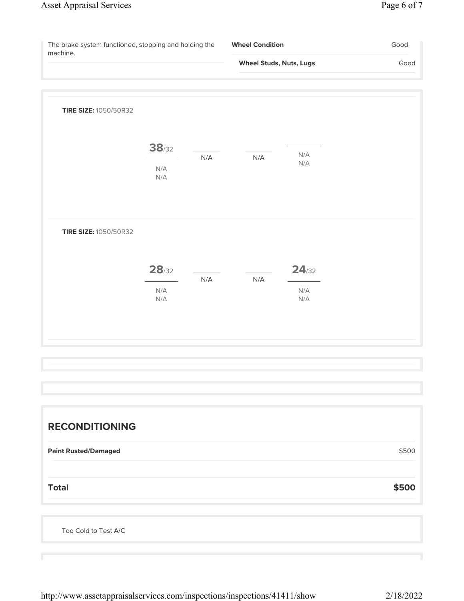

Too Cold to Test A/C